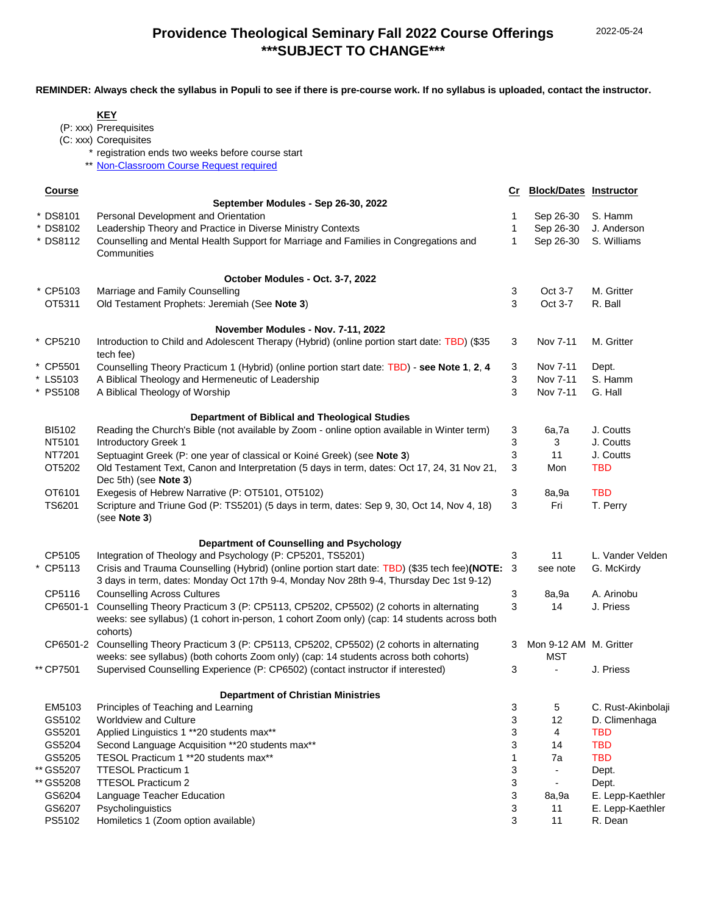**REMINDER: Always check the syllabus in Populi to see if there is pre-course work. If no syllabus is uploaded, contact the instructor.**

**KEY**

|               | (P: xxx) Prerequisites                                                                                                                                                   |    |                               |                    |
|---------------|--------------------------------------------------------------------------------------------------------------------------------------------------------------------------|----|-------------------------------|--------------------|
|               | (C: xxx) Corequisites                                                                                                                                                    |    |                               |                    |
|               | registration ends two weeks before course start                                                                                                                          |    |                               |                    |
| $***$         | Non-Classroom Course Request required                                                                                                                                    |    |                               |                    |
|               |                                                                                                                                                                          |    |                               |                    |
| <b>Course</b> |                                                                                                                                                                          | Cr | <b>Block/Dates Instructor</b> |                    |
|               | September Modules - Sep 26-30, 2022                                                                                                                                      |    |                               |                    |
| * DS8101      | Personal Development and Orientation                                                                                                                                     | 1  | Sep 26-30                     | S. Hamm            |
| * DS8102      | Leadership Theory and Practice in Diverse Ministry Contexts                                                                                                              | 1  | Sep 26-30                     | J. Anderson        |
| DS8112        | Counselling and Mental Health Support for Marriage and Families in Congregations and<br>Communities                                                                      | 1  | Sep 26-30                     | S. Williams        |
|               | October Modules - Oct. 3-7, 2022                                                                                                                                         |    |                               |                    |
| * CP5103      | Marriage and Family Counselling                                                                                                                                          | 3  | Oct 3-7                       | M. Gritter         |
| OT5311        | Old Testament Prophets: Jeremiah (See Note 3)                                                                                                                            | 3  | Oct 3-7                       | R. Ball            |
|               |                                                                                                                                                                          |    |                               |                    |
|               | November Modules - Nov. 7-11, 2022                                                                                                                                       |    |                               |                    |
| * CP5210      | Introduction to Child and Adolescent Therapy (Hybrid) (online portion start date: TBD) (\$35<br>tech fee)                                                                | 3  | Nov 7-11                      | M. Gritter         |
| * CP5501      | Counselling Theory Practicum 1 (Hybrid) (online portion start date: TBD) - see Note 1, 2, 4                                                                              | 3  | Nov 7-11                      | Dept.              |
| * LS5103      | A Biblical Theology and Hermeneutic of Leadership                                                                                                                        | 3  | Nov 7-11                      | S. Hamm            |
| * PS5108      | A Biblical Theology of Worship                                                                                                                                           | 3  | Nov 7-11                      | G. Hall            |
|               | <b>Department of Biblical and Theological Studies</b>                                                                                                                    |    |                               |                    |
| BI5102        | Reading the Church's Bible (not available by Zoom - online option available in Winter term)                                                                              | 3  | 6a,7a                         | J. Coutts          |
| NT5101        | Introductory Greek 1                                                                                                                                                     | 3  | 3                             | J. Coutts          |
| NT7201        |                                                                                                                                                                          |    | 11                            |                    |
|               | Septuagint Greek (P: one year of classical or Koiné Greek) (see Note 3)                                                                                                  | 3  |                               | J. Coutts          |
| OT5202        | Old Testament Text, Canon and Interpretation (5 days in term, dates: Oct 17, 24, 31 Nov 21,                                                                              | 3  | Mon                           | <b>TBD</b>         |
|               | Dec 5th) (see Note 3)                                                                                                                                                    |    |                               |                    |
| OT6101        | Exegesis of Hebrew Narrative (P: OT5101, OT5102)                                                                                                                         | 3  | 8a,9a                         | <b>TBD</b>         |
| TS6201        | Scripture and Triune God (P: TS5201) (5 days in term, dates: Sep 9, 30, Oct 14, Nov 4, 18)<br>(see Note 3)                                                               | 3  | Fri                           | T. Perry           |
|               | Department of Counselling and Psychology                                                                                                                                 |    |                               |                    |
| CP5105        | Integration of Theology and Psychology (P: CP5201, TS5201)                                                                                                               | 3  | 11                            | L. Vander Velden   |
| * CP5113      | Crisis and Trauma Counselling (Hybrid) (online portion start date: TBD) (\$35 tech fee)(NOTE: 3                                                                          |    | see note                      | G. McKirdy         |
|               | 3 days in term, dates: Monday Oct 17th 9-4, Monday Nov 28th 9-4, Thursday Dec 1st 9-12)                                                                                  |    |                               |                    |
| CP5116        | <b>Counselling Across Cultures</b>                                                                                                                                       | 3  | 8a,9a                         | A. Arinobu         |
| CP6501-1      | Counselling Theory Practicum 3 (P: CP5113, CP5202, CP5502) (2 cohorts in alternating                                                                                     | 3  | 14                            | J. Priess          |
|               | weeks: see syllabus) (1 cohort in-person, 1 cohort Zoom only) (cap: 14 students across both                                                                              |    |                               |                    |
|               | cohorts)                                                                                                                                                                 |    |                               |                    |
|               | CP6501-2 Counselling Theory Practicum 3 (P: CP5113, CP5202, CP5502) (2 cohorts in alternating                                                                            | 3  | Mon 9-12 AM M. Gritter        |                    |
|               |                                                                                                                                                                          |    | <b>MST</b>                    |                    |
| ** CP7501     | weeks: see syllabus) (both cohorts Zoom only) (cap: 14 students across both cohorts)<br>Supervised Counselling Experience (P: CP6502) (contact instructor if interested) | 3  | $\overline{\phantom{0}}$      | J. Priess          |
|               |                                                                                                                                                                          |    |                               |                    |
|               | <b>Department of Christian Ministries</b>                                                                                                                                |    |                               |                    |
| EM5103        | Principles of Teaching and Learning                                                                                                                                      | 3  | 5                             | C. Rust-Akinbolaji |
| GS5102        | Worldview and Culture                                                                                                                                                    | 3  | 12                            | D. Climenhaga      |
| GS5201        | Applied Linguistics 1 ** 20 students max**                                                                                                                               | 3  | $\overline{4}$                | <b>TBD</b>         |
| GS5204        | Second Language Acquisition **20 students max**                                                                                                                          | 3  | 14                            | <b>TBD</b>         |
| GS5205        | TESOL Practicum 1 ** 20 students max**                                                                                                                                   | 1  | 7a                            | <b>TBD</b>         |
| ** GS5207     | <b>TTESOL Practicum 1</b>                                                                                                                                                | 3  | $\overline{\phantom{a}}$      | Dept.              |
| ** GS5208     | <b>TTESOL Practicum 2</b>                                                                                                                                                | 3  |                               | Dept.              |
| GS6204        | Language Teacher Education                                                                                                                                               | 3  | 8a,9a                         | E. Lepp-Kaethler   |
| GS6207        | Psycholinguistics                                                                                                                                                        | 3  | 11                            | E. Lepp-Kaethler   |
| PS5102        | Homiletics 1 (Zoom option available)                                                                                                                                     | 3  | 11                            | R. Dean            |